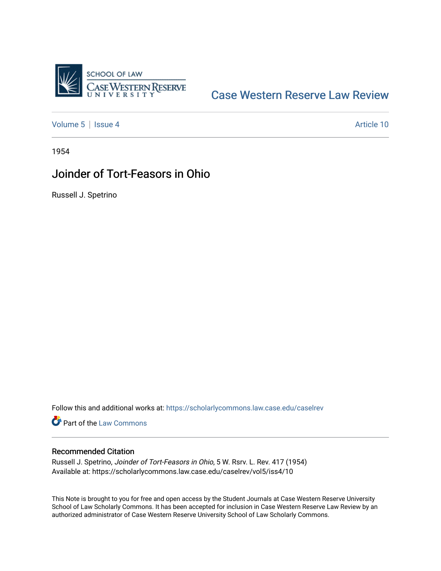

# [Case Western Reserve Law Review](https://scholarlycommons.law.case.edu/caselrev)

[Volume 5](https://scholarlycommons.law.case.edu/caselrev/vol5) | [Issue 4](https://scholarlycommons.law.case.edu/caselrev/vol5/iss4) Article 10

1954

# Joinder of Tort-Feasors in Ohio

Russell J. Spetrino

Follow this and additional works at: [https://scholarlycommons.law.case.edu/caselrev](https://scholarlycommons.law.case.edu/caselrev?utm_source=scholarlycommons.law.case.edu%2Fcaselrev%2Fvol5%2Fiss4%2F10&utm_medium=PDF&utm_campaign=PDFCoverPages)

Part of the [Law Commons](http://network.bepress.com/hgg/discipline/578?utm_source=scholarlycommons.law.case.edu%2Fcaselrev%2Fvol5%2Fiss4%2F10&utm_medium=PDF&utm_campaign=PDFCoverPages)

### Recommended Citation

Russell J. Spetrino, Joinder of Tort-Feasors in Ohio, 5 W. Rsrv. L. Rev. 417 (1954) Available at: https://scholarlycommons.law.case.edu/caselrev/vol5/iss4/10

This Note is brought to you for free and open access by the Student Journals at Case Western Reserve University School of Law Scholarly Commons. It has been accepted for inclusion in Case Western Reserve Law Review by an authorized administrator of Case Western Reserve University School of Law Scholarly Commons.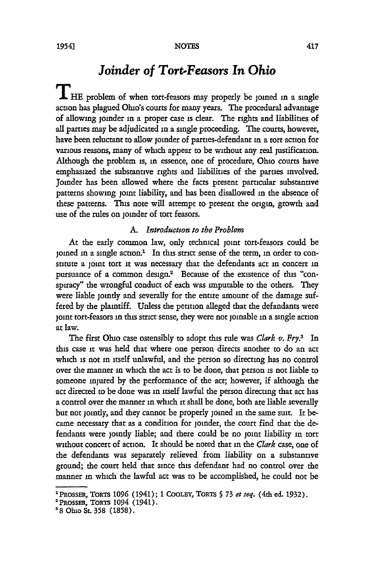## *Joinder of Tort-Feasors In Ohio*

HE problem of when tort-feasors may properly be joined in a single action has plagued Ohio's courts for many years. The procedural advantage of allowing joinder in a proper case is dear. The rights and liabilities of all parties may be adjudicated **in** a single proceeding. The courts, however, have been reluctant to allow joinder of parties-defendant in a tort action for various reasons, many of which appear to be without any real justification. Although the problem is, in essence, one of procedure, Ohio courts have emphasized the substantive rights and liabilities of the parties involved. Joinder has been allowed where the facts present particular substantive patterns showing joint liability, and has been disallowed in the absence of these patterns. This note will attempt to present the origin, growth and use of the rules on joinder of tort feasors.

#### *A. Introducton to the Problem*

At the early common law, only technical joint tort-feasors could be joined in a single action.<sup>1</sup> In this strict sense of the term, in order to constitute a joint tort **it** was necessary that the defendants act in concert in pursuance of a common design.<sup>2</sup> Because of the existence of this "conspiracy" the wrongful conduct of each was imputable to the others. They were liable jointly and severally for the entire amount of the damage suffered by the plaintiff. Unless the petition alleged that the defandants were joint tort-feasors in this strict sense, they were not joinable in a single action at law.

The first Ohio case ostensibly to adopt this rule was *Clark v. Fry.*<sup>3</sup> In this case **it** was held that where one person directs another to do an act which is not in itself unlawful, and the person so directing has no control over the manner in which the act is to be done, that person is not liable to someone injured by the performance of the act; however, if although the act directed to be done was in itself lawful the person directing that act has a control over the manner in which it shall be done, both are liable severally but not jointly, and they cannot be properly joined in the same suit. It became necessary that as a condition for joinder, the court find that the defendants were jointly liable; and there could be no joint liability in tort without concert of action. It should be noted that **in** the *Clark* case, one of the defendants was separately relieved from liability on a substantive ground; the court held that since this defendant had no control over the manner **in** which the lawful act was to be accomplished, he could not be

<sup>1</sup>PRossER, TobT **1096 (1941); 1** COOLEY, **TORTS § 73** et *seq.* (4th ed. **1932).**

<sup>2</sup> OPSSER, ToRis **1094 (1941).**

**<sup>&#</sup>x27;8 Ohio St. 358 (1858).**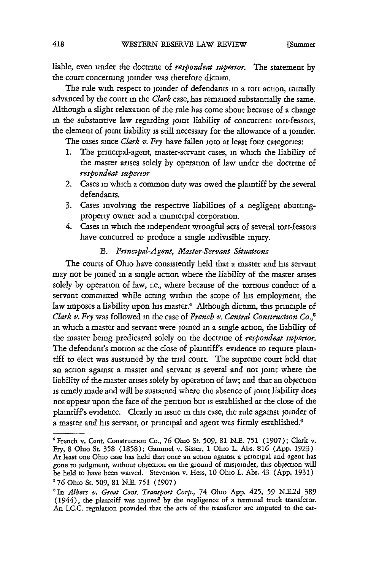liable, even under the doctrine of *respondeat supertor.* The statement by the court concerning joinder was therefore dictum.

The rule with respect to joinder of defendants in a tort action, initially advanced by the court in the *Clark* case, has remained substantially the same. Although a slight relaxation of the rule has come about because of a change in the substantive law regarding joint liability of concurrent tort-feasors, the element of joint liability is still necessary for the allowance of a joinder.

The cases since *Clark v. Fry* have fallen into at least four categories:

- 1. The principal-agent, master-servant cases, in which the liability of the master arises solely by operation of law under the doctrine of *respondeat superior*
- 2. Cases in which a common duty was owed the plaintiff by the several defendants.
- 3. Cases involving the respective liabilities of a negligent abuttingproperty owner and a municipal corporation.
- 4. Cases in which the independent wrongful acts of several tort-feasors have concurred to produce a single indivisible injury.

### *B. Prmczpal-Agent, Master-Servant Situations*

The courts of Ohio have consistently held that a master and his servant may not be joined in a single action where the liability of the master arises solely by operation of law, i.e., where because of the tortious conduct of a servant committed while acting within the scope of his employment, the law imposes a liability upon his master.<sup>4</sup> Although dictum, this principle of *Clark v. Fry* was followed in the case of *French v. Central Construction Co.,'* in which a master and servant were joined in a single action, the liability of the master being predicated solely on the doctrine of *respondeat superior.* The defendant's motion at the close of plaintiff's evidence to require plaintiff to elect was sustained by the trial court. The supreme court held that an action against a master and servant is several and not joint where the liability of the master arises solely by operation of law; and that an objection is timely made and will be sustained where the absence of joint liability does not appear upon the face of the petition but is established at the close of the plaintiff's evidence. Clearly in issue in this case, the rule against joinder of a master and his servant, or principal and agent was firmly established.<sup>6</sup>

<sup>&#</sup>x27;French v. Cent. Construction Co., **76** Ohio St. 509, 81 N.E. 751 (1907); Clark v. Fry, 8 Ohio St. **358** (1858); Gammel v. Sisser, 1 Ohio L. Abs. **816** (App. 1923) At least one Ohio case has held that once an action against a principal and agent has gone to judgment, without objection on the ground of misjoinder, this objection will be held to have been waived. Stevenson v. Hess, 10 Ohio L. Abs. 43 (App. 1931) **'76** Ohio St. **509,** 81 N.E. **751** (1907)

*<sup>&#</sup>x27;In Albers v. Great Cent. Transport Corp.,* 74 Ohio App. 425, **59** N.E.2d **389** (1944), the plaintiff was injured by the negligence of a terminal truck transferor. An I.C.C. regulation provided that the acts of the transferor are imputed to the car-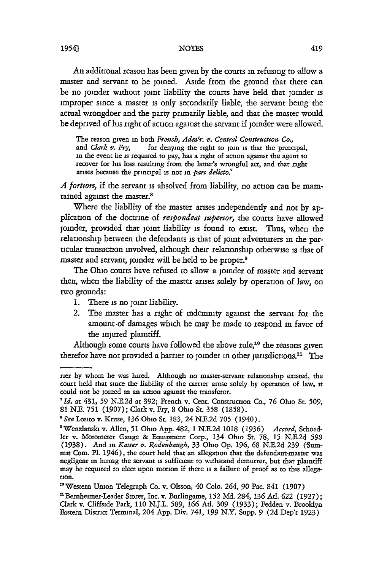**NOTES**

An additional reason has been given by the courts in refusing to allow a master and servant to be joined. Aside from the ground that there can be no joinder without joint liability the courts have held that joinder is improper since a master is only secondarily liable, the servant being the actual wrongdoer and the party primarily liable, and that the master would be deprived of his right of action against the servant if joinder were allowed.

The reason given in both *French, Adm'r. v. Central Constructon Co.,* for denying the right to join is that the principal, in the event he is required to pay, has a right of action against the agent to recover for his loss resulting from the latter's wrongful act, and that right arises because the principal is not in *part delicto.:*

*A fortorz,* if the servant is absolved from liability, no action can be maintained against the master.<sup>8</sup>

Where the liability of the master arises independently and not by application of the doctrine of *respondeat supertor,* the courts have allowed joinder, provided that joint liability is found to exist. Thus, when the relationship between the defendants is that of joint adventurers in the particular transaction involved, although their relationship otherwise is that of master and servant, joinder will be held to be proper.9

The Ohio courts have refused to allow a joinder of master and servant then, when the liability of the master arises solely by operation of law, on two grounds:

- 1. There is no joint liability.
- 2. The master has a right of indemnity against the servant for the amount-of damages which he may be made to respond in favor of the injured plaintiff.

Although some courts have followed the above rule,<sup>10</sup> the reasons given therefor have not provided a barrier to joinder in other jurisdictions." The

rier by whom he was hired. Although no master-servant relationship existed, the court held that since the liability of the carrier arose solely by operation of law, it could not be joined in an action against the transferor.

*<sup>&#</sup>x27;Id.* at 431, **59** N.E.2d at 392; French v. Cent. Construction Co., 76 Ohio St. *509,* **81** N.E. **751** (1907); Clark v. Fry, 8 Ohio St. *358* (1858).

*<sup>&#</sup>x27;See* Losito v. Kruse, **136** Ohio St. 183, 24 N.E.2d **705** (1940).

<sup>&#</sup>x27;Wenzanski v. Allen, **51** Ohio App. 482, **1** N.E.2d **1018** (1936) *Accord,* Schoedler v. Motometer Gauge **&** Equipment Corp., 134 Ohio St. 78, **15** N.E.2d **598** (1938). And in *Kaiser v. Rodenbaugh,* 33 Ohio **Op. 196,** *68* N.E.2d 239 (Summit Com. P1. 1946), the court held that an allegation that the defendant-master was negligent in hiring the servant is sufficient to withstand demurrer, but that plaintiff may be required to elect upon motion if there is a failure of proof as to this allega tion.

<sup>&</sup>lt;sup>10</sup> Western Union Telegraph Co. v. Olsson, 40 Colo. 264, 90 Pac. 841 (1907)

**<sup>&#</sup>x27;** Bernhemer-Leader Stores, Inc. v. Burlingame, **152 Md.** 284, **136** Ad. **622** (1927); Clark v. Cliffside Park, **110** N.J.L. 589, **166** Ad. **309** (1933); Fedden v. Brooklyn Eastern District Terminal, 204 App. Div. 741, *199* N.Y. Supp. **9** (2d Dep't 1923)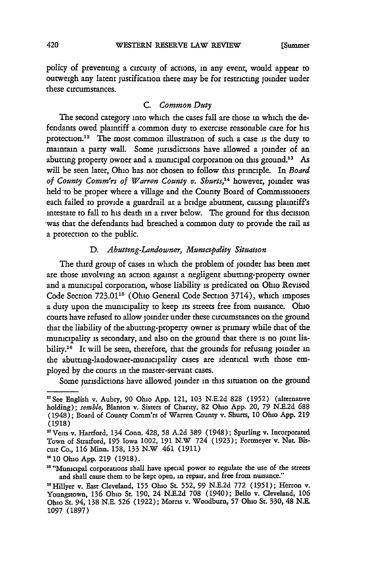policy of preventing a circuity of actions, in any event, would appear to outweigh any latent justification there may be for restricting joinder under these circumstances.

#### *C. Common Duty*

The second category into which the cases fall are those in which the defendants owed plaintiff a common duty to exercise reasonable care for his protection.<sup>12</sup> The most common illustration of such a case is the duty to maintain a party wall. Some jurisdictions have allowed a joinder of an abutting property owner and a municipal corporation on this ground.<sup>13</sup> As will be seen later, Ohio has not chosen to follow this principle. In *Board of County Comm'rs of Warren County v. Shurts*,<sup>14</sup> however, joinder was held to be proper where a village and the County Board of Commissioners each failed to provide a guardrail at a bridge abutment, causing plaintiff's intestate to fall to his death in a river below. The ground for this decision 'was that the defendants had breached a common duty to provide the rail as a protection to the public.

#### *D. Abuttng-Landowner, Municipality Situation*

The third group of cases in which the problem of joinder has been met are those involving an action against a negligent abutting-property owner and a municipal corporation, whose liability is predicated on Ohio Revised Code Section 723.01<sup>15</sup> (Ohio General Code Section 3714), which imposes a duty upon the municipality to keep its streets free from nuisance. Ohio courts have refused to allow joinder under these circumstances on the ground that the liability of the abutting-property owner is primary while that of the municipality is secondary, and also on the ground that there **is** no joint liability.<sup>16</sup> It will be seen, therefore, that the grounds for refusing joinder in the abutting-landowner-mumcipality cases are identical with those employed by the courts in the master-servant cases.

Some jurisdictions have allowed joinder in this situation on the ground

<sup>&#</sup>x27;See English v. Aubry, 90 Ohio App. 121, **103** N.E.2d 828 (1952) (alternative holding); *semble,* Blanton v. Sisters of Charity, 82 Ohio App. 20, 79 N.E.2d **688** (1948); Board of County Comm'rs of Warren County v. Shurts, **10** Ohio App. **219** (1918)

<sup>&</sup>lt;sup>13</sup> Veits v. Hartford, 134 Conn. 428, 58 A.2d 389 (1948); Spurling v. Incorporated Town of Stratford, **195** Iowa 1002, 191 N.W 724 (1923); Fortmeyer v. Nat. Biscuit Co., **116** Minn. **158,** 133 N.W 461 (1911)

<sup>1410</sup> Ohio App. **219** (1918).

<sup>&</sup>lt;sup>15</sup> "Municipal corporations shall have special power to regulate the use of the streets and shall cause them to be kept open, in repair, and free from nuisance."

<sup>&</sup>quot; 6 Hillyer v. East Cleveland, **155** Ohio St. **552, 99** N.E.2d 772 (1951); Herron v. Youngstown, **136** Ohio St. 190, 24 N.E.2d **708** (1940); Bello v. Cleveland, **106** Ohio St. 94, 138 N.E. **526** (1922); Morris v. Woodburn, 57 Ohio St. 330, 48 N.E. **1097** (1897)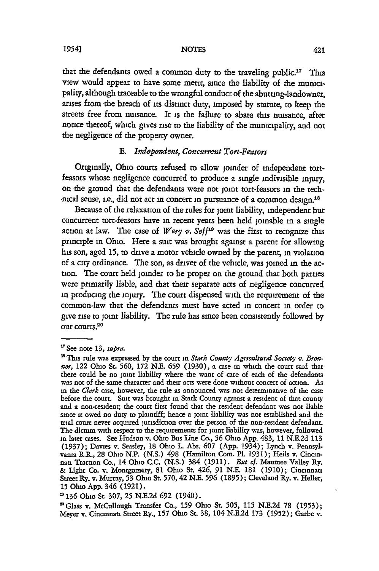**NOTES**

that the defendants owed a common duty to the traveling public.<sup>17</sup> This view would appear to have some merit, since the liability of the municpality, although traceable to the wrongful conduct of the abutting-landowner, arises from the breach of its distinct duty, imposed by statute, to keep the streets free from nuisance. It is the failure to abate this nuisance, after notice thereof, which gives rise to the liability of the municipality, and not the negligence of the property owner.

#### **E.** Independent, Concurrent Tort-Feasors

Originally, Ohio courts refused to allow joinder of independent tortfeasors whose negligence concurred to produce a single indivisible injury, on the ground that the defendants were not joint tort-feasors in the technical sense, i.e., did not act in concert in pursuance of a common design.<sup>18</sup>

Because of the relaxation of the rules for joint liability, independent but concurrent tort-feasors have in recent years been held joinable in a single action at law. The case of *Wery v. Seff*<sup>19</sup> was the first to recognize this principle in Ohio. Here a suit was brought against a parent for allowing his son, aged 15, to drive a motor vehicle owned by the parent, in violation of a city ordinance. The son, as driver of the vehicle, was joined in the action. The court held joinder to be proper on the ground that both parties were primarily liable, and that their separate acts of negligence concurred **in** producing the injury. The court dispensed with the requirement of the common-law that the defendants must have acted in concert in order to give rise to **joint** liability. The rule has since been consistently followed by our courts.<sup>20</sup>

**1954)**

<sup>&</sup>lt;sup>17</sup> See note 13, *supra*.

<sup>&</sup>lt;sup>13</sup> This rule was expressed by the court in *Stark County Agricultural Society v. Brenner,* 122 Ohio St. **560,** 172 N.E. **659** (1930), a case in which the court said that there could be no joint liability where the want of care of each of the defendants was not of the same character and their acts were done without concert of action. As in the *Clark* case, however, the rule as announced was not determinative of the case before the court. Suit was brought in Stark County against a resident of that county and a non-resident; the court first found that the resident defendant was not liable since it owed no duty to plaintiff; hence a joint liability was not established and the trial court never acquired jurisdiction over the person of the non-resident defendant. The dictum with respect to the requirements for joint liability was, however, followed in later cases. See Hudson v. Ohio Bus Line Co., **56** Ohio App. 483, 11 N.E.2d 113 (1937); Davies v. Seasley, 18 Ohio L. Abs. **607** (App. 1934); Lynch v. Pennsylvania R.R., 28 Ohio N.P. (N.S.) 498 (Hamilton Com. Pl. 1931); Heils v. Cincinnati Traction Co., 14 Ohio **C.C.** (N.S.) 384 (1911). *But cf.* Maumee Valley Ry. & Light Co. v. Montgomery, 81 Ohio St. 426, **91** N.E. 181 (1910); Cincinnati Street Ry. v. Murray, 53 Ohio St. 570,42 N.E. **596 (1895);** Cleveland Ry. v. Heller, 15 Ohio App. 346 (1921).

**<sup>&</sup>quot;136** Ohio St. 307, **25** N.E.2d **692** (1940).

<sup>&#</sup>x27;Glass v. McCullough Transfer Co., **159** Ohio St. **505,** 115 N.E.2d 78 (1953); Meyer v. Cincinnati Street Ry., **157** Ohio St. **38,** 104 N.E.2d 173 **(1952);** Garbe v.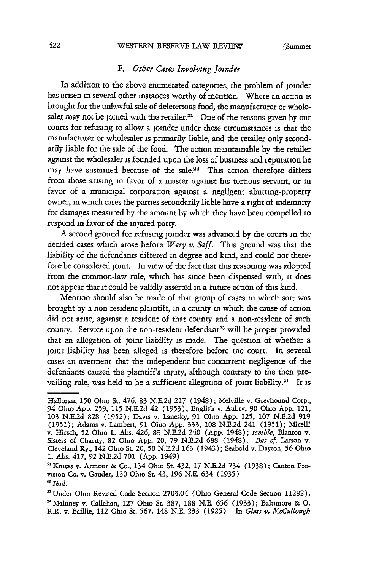#### WESTERN RESERVE LAW REVIEW

#### *F. Other Cases Involving Jotnder*

In addition to the above enumerated categories, the problem of joinder has arisen in several other instances worthy of mention. Where an action is brought for the unlawful sale of deleterious food, the manufacturer or wholesaler may not be joined with the retailer.<sup>21</sup> One of the reasons given by our courts for refusing to allow a joinder under these circumstances is that the manufacturer or wholesaler is primarily liable, and the retailer only secondarily liable for the sale of the food. The action maintainable by the retailer against the wholesaler is founded upon the loss of business and reputation he may have sustained because of the sale.<sup>22</sup> This action therefore differs from those arising in favor of a master against his tortious servant, or in favor of a municipal corporation against a negligent abutting-property owner, **in** which cases the parties secondarily liable have a right of indemnity for damages measured by the amount by which they have been compelled to respond in favor of the injured party.

A second ground for refusing joinder was advanced by the courts in the decided cases which arose before *Wery v. Seff.* This ground was that the liability of the defendants differed in degree and kind, and could not therefore be considered joint. In view of the fact that this reasoning was adopted from the common-law rule, which has since been dispensed with, **it** does not appear that **it** could be validly asserted in a future action of this kind.

Mention should also be made of that group of cases in which suit was brought by a non-resident plaintiff, in a county in which the cause of action did not arise, against a resident of that county and a non-resident of such county. Service upon the non-resident defendant<sup>23</sup> will be proper provided that an allegation of joint liability is made. The question of whether a joint liability has been alleged is therefore before the court. In several cases an averment that the independent but concurrent negligence of the defendants caused the plaintiff's injury, although contrary to the then prevailing rule, was held to be a sufficient allegation of joint liability.<sup>24</sup> It is

Halloran, **150** Ohio St. 476, 83 N.E.2d 217 (1948); Melville v. Greyhound Corp., 94 Ohio App. **259,** 115 N.E.2d 42 (1953); English v. Aubry, 90 Ohio App. 121, 103 N.E.2d 828 (1952); Davis v. Lanesky, 91 Ohio App. 125, 107 N.E.2d 919 (1951); Adams v. Lambert, 91 Ohio App. 333, 108 N.E.2d 241 (1951); Micelli v. Hirsch, 52 Ohio L. Abs. 426, 83 N.E.2d 240 (App. 1948); *semble,* Blanton v. Sisters of Charity, 82 Ohio App. 20, 79 N.E.2d **688** (1948). *But cf.* Larson v. Cleveland Ry., 142 Ohio St. 20, **50** N.E.2d **163** (1943); Seabold v. Dayton, **56** Ohio L. Abs. 417, 92 N.E.2d 701 (App. 1949)

<sup>&#</sup>x27;Kniess v. Armour & Co., 134 Ohio St. 432, 17 N.E.2d 734 (1938); Canton Provision Co. v. Gauder, 130 Ohio St. 43, **196** N.E. 634 (1935) *22Ibfd.*

<sup>&#</sup>x27;Under Ohio Revised Code Section 2703.04 (Ohio General Code Section 11282). 'Maloney v. Callahan, 127 Ohio St. 387, 188 N.E. **656** (1933); Baltimore & **0.** R.R. v. Baillie, 112 Ohio St. 567, 148 N.E. 233 (1925) In *Glass v. McCullough*